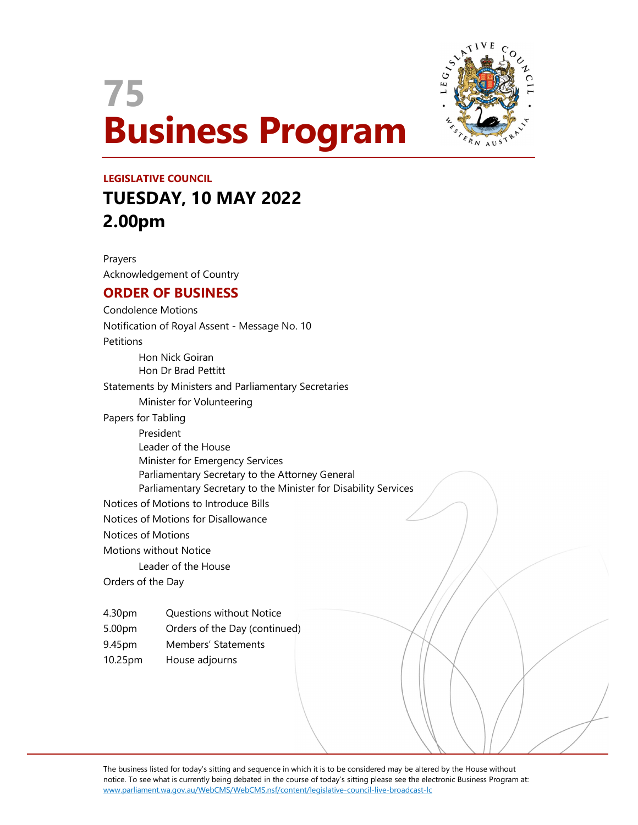



# LEGISLATIVE COUNCIL TUESDAY, 10 MAY 2022 2.00pm

Prayers Acknowledgement of Country

# ORDER OF BUSINESS

Condolence Motions Notification of Royal Assent - Message No. 10 **Petitions**  Hon Nick Goiran Hon Dr Brad Pettitt Statements by Ministers and Parliamentary Secretaries Minister for Volunteering Papers for Tabling President Leader of the House Minister for Emergency Services Parliamentary Secretary to the Attorney General Parliamentary Secretary to the Minister for Disability Services Notices of Motions to Introduce Bills Notices of Motions for Disallowance Notices of Motions Motions without Notice Leader of the House Orders of the Day 4.30pm Questions without Notice 5.00pm Orders of the Day (continued) 9.45pm Members' Statements 10.25pm House adjourns